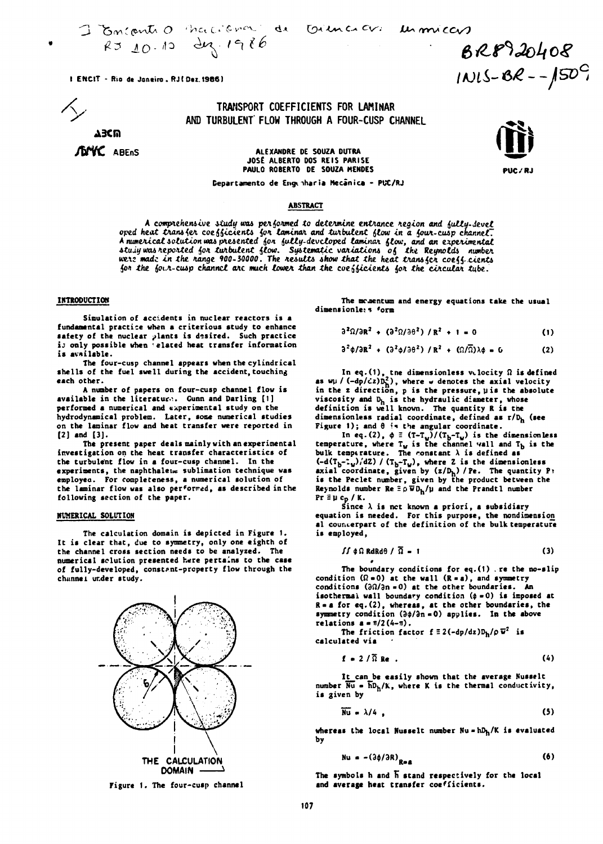I Boncantio Maccional de

Triencicus un miccus

BR8920408  $1NIS-8R--150^{C}$ 

PHC / R.I

1 ENCIT - Rio de Janeiro, RJ (Dez. 1986).

TRANSPORT COEFFICIENTS FOR LAMINAR AND TURBULENT FLOW THROUGH A FOUR-CUSP CHANNEL

**ABCM JOMC** ABENS

ALEXANDRE DE SOUZA DUTRA JOSÉ ALBERTO DOS REIS PARISE PAULO ROBERTO DE SOUZA MENDES

Departamento de Engenharia Mecânica - PUC/RJ

## **ABSTRACT**

A comprehensive study was performed to determine entrance region and fully-devel ored heat transfer coefficients for laminar and turbulent flow in a four-cusp channel.<br>A numerical solution was presented for fully-developed laminar flow, and an experimental stuin was reported for turbulent flow. Systematic variations of the Reynolds number<br>were made in the range 900-30000. The results show that the heat transfer coeff-cients for the four-cusp channel are much lower than the coefficients for the circular tube.

#### **INTRODUCTION**

Simulation of accidents in nuclear reactors is a fundamental practice when a criterious study to enhance safety of the nuclear plants is desired. Such practice is only possible when 'elated heat transfer information is available.

The four-cusp channel appears when the cylindrical shells of the fuel swell during the accident touching each other.

A number of papers on four-cusp channel flow is available in the literature. Gunn and Darling [1] performed a numerical and experimental study on the hydrodynamical problem. Later, some numerical studies on the laminar flow and heat transfer were reported in  $[2]$  and  $[3]$ .

The present paper deals mainly with an experimental investigation on the heat transfer characteristics of the turbulent flow in a four-cusp channel. In the experiments, the naphthalene sublimation technique was employed. For completeness, a numerical solution of the laminar flow was also performed, as described in the following section of the paper.

### **NUMERICAL SOLUTION**

The calculation domain is depicted in Figure 1. It is clear that, due to symmetry, only one eighth of the channel cross section needs to be analyzed. The numerical solution presented here pertains to the case of fully-developed, constant-property flow through the channel under study.



Figure 1. The four-cusp channel

The momentum and energy equations take the usual dimensionle: s form

$$
\partial^2 \Omega / \partial R^2 + (\partial^2 \Omega / \partial \theta^2) / R^2 + 1 = 0
$$
 (1)

$$
\partial^2 \phi / \partial R^2 + (\partial^2 \phi / \partial \theta^2) / R^2 + (\Omega / \overline{\Omega}) \lambda \phi = 0
$$
 (2)

In eq.(1), the dimensionless vilocity  $\Omega$  is defined<br>as  $w\mu$  /  $(-dp/cz)D<sub>n</sub><sup>2</sup>$ ), where w denotes the axial velocity<br>in the z direction, p is the pressure, µ is the absolute viscosity and  $D_h$  is the hydraulic diameter, whose<br>definition is well known. The quantity R is the dimensionless radial coordinate, defined as r/D<sub>h</sub> (see Figure 1); and  $\theta$  is the angular coordinate.

In eq. (2),  $\phi \equiv (\text{T}-\text{T}_w)/(\text{T}_b-\text{T}_w)$  is the dimensionless<br>temperature, where  $\text{T}_w$  is the channel vall and  $\text{T}_b$  is the bulk temperature. The constant  $\lambda$  is defined as  $(-d(T_b - T_w)/dZ) / (T_b - T_w)$ , where Z is the dimensionless<br>axial coordinate, given by  $(z/D_h) / Pe$ . The quantity P:<br>is the Peclet number, given by the product between the<br>Reynolds number  $Re \equiv \rho \bar{w} D_h / \mu$  and the Prandtl number  $Pr \equiv \mu c_p / K.$ 

Since  $\lambda$  is not known a priori, a subsidiary equation is needed. For this purpose, the nondimension al councerpart of the definition of the bulk temperature is employed,

$$
\int \phi \, \Omega \, \text{RdRd}\theta \, / \, \overline{\Omega} = 1 \tag{3}
$$

The boundary conditions for eq.  $(1)$  . re the no-slip condition  $(\Omega = 0)$  at the wall  $(R = a)$ , and symmetry conditions  $(3\Omega/\partial n = 0)$  at the other boundaries. An isothermal wall boundary condition  $(\phi = 0)$  is imposed at  $R = a$  for eq. (2), whereas, at the other boundaries, the symmetry condition  $(\partial \phi / \partial n = 0)$  applies. In the above relations  $a = \pi/2(4-\pi)$ .

The friction factor  $f \equiv 2(-dp/dz)D_h/\rho \nabla^2$  is calculated via

$$
f = 2/\overline{\Omega} \text{ Re }.
$$
 (4)

It can be easily shown that the average Nusselt number  $\overline{Nu}$  =  $\overline{h}D_h/K$ , where K is the thermal conductivity, is given by

$$
\overline{\text{Nu}} = \lambda/4 \tag{5}
$$

whereas the local Nusselt number  $Nu = hD_h/K$  is evaluated bv

$$
\mathbf{Nu} = -\left(\frac{3\phi}{\partial R}\right)_{R_{\text{max}}} \tag{6}
$$

The symbols h and h stand respectively for the local and average heat transfer coefficients.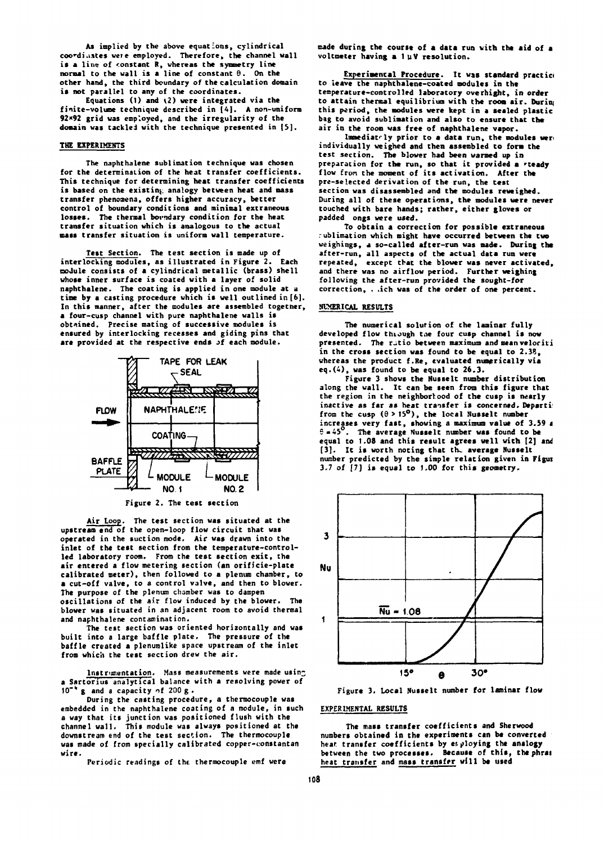**As implied by the above equations, cylindrical cocdi.iates were employed. Therefore, the channel wall is a line of constant R, whereas the symmetry line normal to the wall is a line of constant 6. On the other hand, the third boundary of the calculation domain is not parallel to any of the coordinates.** 

Equations (1) and (2) were integrated via the **finite-volume technique described in [A], A non-uniform 92x92 grid was employed, and the irregularity of the domain was tackled with the technique presented in [5].** 

## **THE EXPERIMENTS**

**The naphthalene sublimation technique was chosen for the determination of the heat transfer coefficients. This technique for determining heat transfer coefficients is based on the existing analogy between heat and mass transfer phenomena, offers higher accuracy, better control of boundary conditions and minimal extraneous losses. The thermal borndary condition for the heat transfer situation which is analogous to the actual mass transfer situation is uniform wall temperature.** 

**Test Section. The test section is made up of interlocking modules, as illustrated in Figure 2. Each noJule consists of a cylindrical metallic (brass) shell whose inner surface is coated with a layer of solid naphthalene. The coating is applied in one module at a time by a casting procedure which is well outlined in [6]. In this manner, after the modules are assembled togetner, a four-cusp channel with pure naphthalene walls is obtained. Precise mating of successive modules is ensured by interlocking recesses and giding pins that**  are provided at the respective ends of each module.



**Figure 2. The test section** 

**Air Loop. The test section was situated at the upstream end of the open-loop flow circuit that was operated in the suction mode. Air was drawn into the inlet of the test section from the temperature-controlled laboratory room. From the test section exit, the air entered a flow metering section (an orificie-plate calibrated meter), then followed to a plenum chamber, to a cut-off valve, to a control valve, and then to blower. The purpose of the plenum chamber was to dampen oscillations of the air flow induced by the blower. The blower was situated in an adjacent room to avoid thermal and naphthalene contamination.** 

**The test section was oriented horizontally and was built into a large baffle plate. The pressure of the baffle created a plenumlike space upstream of the inlet from which the test section drew the air.** 

**Instrumentation. Mass measurements were made usina Sartorius analytical balance with a resolving power of**   $10^{-4}$  g and a capacity of 200 g.

**During the casting procedure, a thermocouple was embedded in the naphthalene coating of a module, in such a way that its junction was positioned flush with the channel wall. This module was always positioned at the downstream end of the test section. The thermocouple was made of from specially calibrated copper-constantan wire.** 

**Periodic readings of the thermocouple emf were** 

**made during the course of a data run with the aid of a voltmeter having a 1 UV resolution.** 

**Experimental Procedure. It was standard practici to leave the naphthalene-coated modules in the temperature-controlled laboratory overnight, in order to attain thermal equilibrium with the room air. Durini this period, the modules were kept in a sealed plastic bag to avoid sublimation and also to ensure that the air in the room was free of naphthalene vapor.** 

Immediately prior to a data run, the modules were **individually weighed and then assembled to form the test section. The blower had been warmed up in preparation for the run, so that it provided a 'teady flow iron the moment of its activation. After the pre-selected derivation of the run, the test section was disassembled and the modules reveighed. During all of these operations, the modules were never touched with bare hands; rather, either gloves or padded ongs were used.** 

**To obtain a correction for possible extraneous rublimation which might have occurred between the two weighings, a so-called after-run was made. During the after-run, all aspects of the actual data run were repeated, except that the blower was never activated, and there was no airflow period. Further weighing following the after-run provided the sought-for correction, . .ich was of the order of one percent.** 

## **NUMERICAL RESULTS**

**The numerical solution of the laminar fully developed flow ttuough tne four cusp channel is now presented. The r-tio between maximum and meanveloriti in the cross section was found to be equal to 2.38, whereas the product f.Re, evaluated numerically via eq.(i), was found to be equal to 26.3.** 

**Figure 3 shows the Nusselt number distribution along the wall. It can be seen from this figure that the region in the neighborhood of the cusp is nearly inactive as far as heat transfer is concerned. Departi:**  from the cusp  $(\theta > 15^{\circ})$ , the local Nusselt number **increases very fast, showing a maximum value of 3.59 i 9 » 45 . The average Nusselt number was found to be equal to 1.08 and this result agrees well with [2] and [3]. It is worth noting that th\_ average Nusselt number predicted by the simple relation given in Figui 3.7 of [7] is equal to 1.00 for this geometry.** 



**Figure 3. Local Nusselt number for laminar flow** 

#### **EXPERIMENTAL RESULTS**

**The mass transfer coefficients and Sherwood numbers obtained in the experiments can be converted hear transfer coefficients by employing the analogy between the two processes. Because of this, the phrai heat transfer and mass transfer will be used**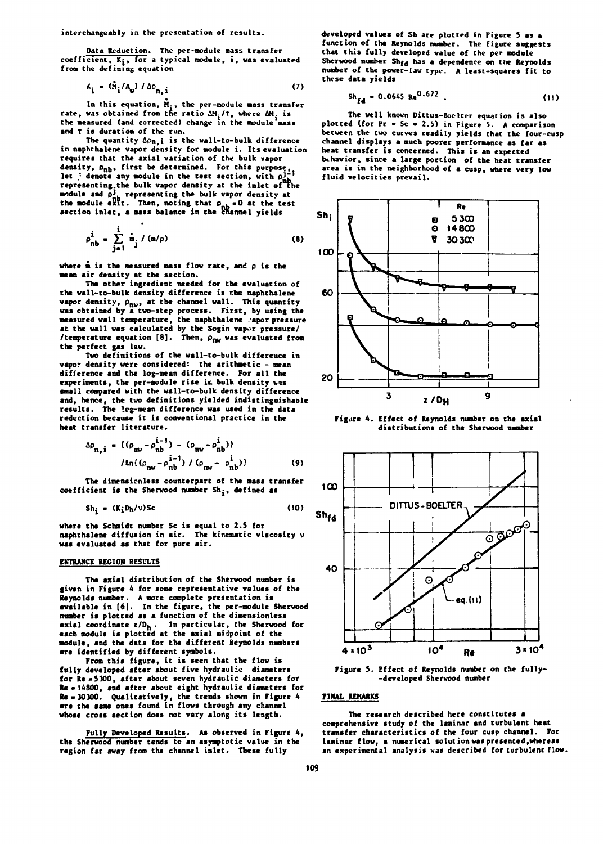**interchangeably in the presentation of results.** 

**Data Reduction. The per-module mass transfer coefficient, Kj, for a typical nodule, i , was evaluated from the defining equation** 

$$
\kappa_{i} = (\hat{M}_{i}/A_{\mathbf{u}}) / \Delta \rho_{n,i}
$$
 (7)

In this equation, M<sub>1</sub>, the per-module mass transfer **rate, was obtained from the ratio ÚM./T, where AM. is the measured (and corrected) change in the module mass and T is duration of the run.** 

The quantity  $\Delta \rho_{n,i}$  is the wall-to-bulk difference in naphthalene vapor density for module i. Its evaluation **requires that the axial variation of the bulk vapor**  density,  $\rho_{\text{nb}}$ , first be determined. For this purpose,<br>let  $\frac{1}{r}$  denote any module in the test section, with  $\rho_{\text{nb}}^{1-\frac{1}{r}}$ **let , denote any module in the test section, with p<sup>J</sup> representing.the bulk vapor density at the inlet of the** module and  $p_{1k}^1$  representing the bulk vapor density at the module exit. Then, noting that  $\rho_{\rm m} = 0$  at the test **accrition** inlet, a mass balance in the channel yields

$$
\rho_{\rm nb}^{\dot{1}} - \sum_{j=1}^{\dot{1}} \dot{m}_j / (m/\rho)
$$
 (8)

where  $\dot{m}$  is the measured mass flow rate, and  $\rho$  is the **mean air density at the section.** 

**The other ingredient needed for the evaluation of**  the wall-to-bulk density difference is the naphthalene **vapor density,**  $\rho_{\text{nw}}$ **, at the channel wall. This quantity was obtained by a two-step process. First, by using the measured wall temperature, the naphthalene /apor pressure**  at the wall was calculated by the Sogin vapor pressure/ /temperature equation  $[8]$ . Then,  $\rho_{\text{new}}$  was evaluated from **the perfect gas law.** 

**Two definitions of the wall-to-bulk difference in vapor density were considered: the arithmetic - mean difference and the log-mean difference. For all the experiments, the per-module rise ir. bulk density vis small compared with the wall-to-bulk density difference and, hence, the two definitions yielded indistinguishable results. The leg-mean difference was used in the data reduction because it is conventional practice in the heat transfer literature.** 

$$
\Delta \rho_{n,i} = \{ (\rho_{nv} - \rho_{nb}^{i-1}) - (\rho_{nv} - \rho_{nb}^{i}) \}
$$
  
\n
$$
/ \ln((\rho_{nv} - \rho_{nb}^{i-1}) / (\rho_{nw} - \rho_{nb}^{i}) \}
$$
 (9)

**The dimensicnless counterpart of the mass transfer coefficient is the Sherwood number Sh; , defined as** 

$$
Sh_i = (K_i D_h/v) Sc
$$
 (10)

**where the Schmidt number Sc is equal to 2.S for naphthalene diffusion in air. The kinematic viscosity v was evaluated at that for pure air.** 

### **ENTRANCE REGION RESULTS**

**The axial distribution of the Sherwood number is given in Figure 4 for some representative values of the Reynolds number. A more complete presentation is available in [6]. In the figure, the per-module Sherwood number is plotted as a function of the dimensionless axial coordinate z/Dh . In particular, the Sherwood for •ach module is plotted at the axial midpoint of the module, and the data for the different Reynolds numbers are identified by different symbols.** 

**From this figure, it is seen that the flow is fully developed after about five hydraulic diameters for Re «5300, after about seven hydraulic diameters for Re a 14800, and after about eight hydraulic diameters for Re •30300. Qualitatively, the trends shown in Figure 4**  are the same ones found in flows through any channel **whose cross section does not vary along its length.** 

**Fully Developed Results. As observed in Figure 4, the Sherwood number tends to an asymptotic value in the region far away from the channel inlet. These fully** 

**developed values of Sh are plotted in Figure 5 as & function of the Reynolds number. The figure suggests that this fully developed value of the per module**  Sherwood number Sh<sub>fd</sub> has a dependence on the Reynolds **number of the power-law type. A least-squares fit to these data yields** 

$$
Sh_{fd} = 0.0645 \text{ Re}^{0.672} \tag{11}
$$

**The well known Dittus-Eoelter equation is also plotted (for Pr - Sc • 2.5) in Figure 5. A comparison between the two curves readily yields that the four-cusp channel displays a much poorer performance as far as heat transfer is concerned. This is an expected bthavior, since a large portion of the heat transfer area is in the neighborhood of a cusp, where very low**  fluid velocities prevail.



**Figure 4. Effect of Reynolds number on the axial distributions of the Sherwood number** 



**Figure 5. Effect of Reynolds number on the fully- -developed Sherwood number** 

## **FINAL REMARKS**

**The research described here constitutes a comprehensive study of the laminar and turbulent heat transfer characteristics of the four cusp channel. For laminar flow, a numerical solution was presented.whereas an experimental analysis was described for turbulent flow.**